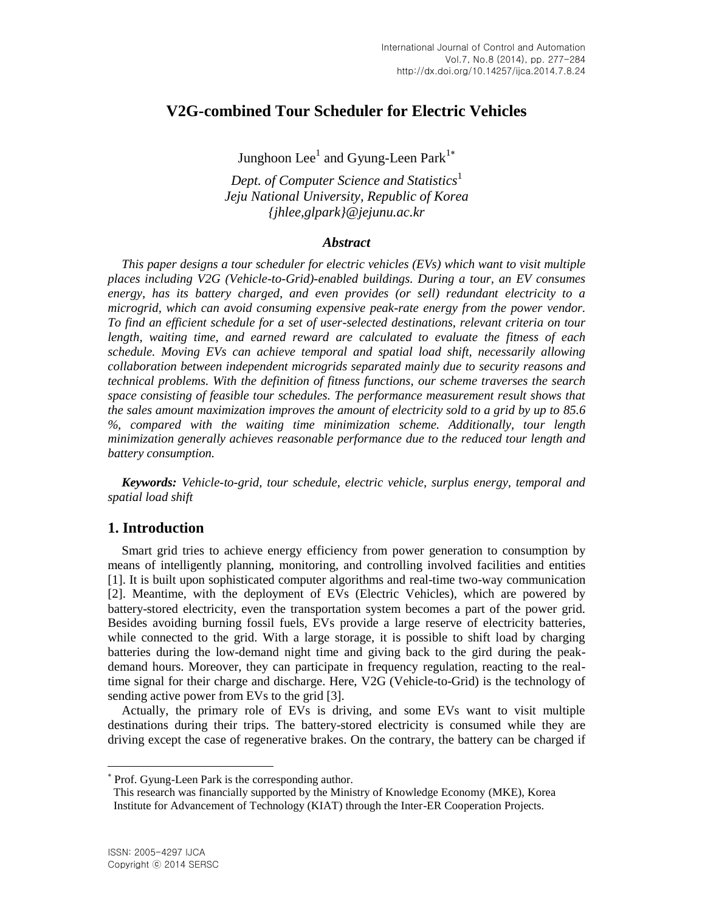# **V2G-combined Tour Scheduler for Electric Vehicles**

Junghoon  $\text{Lee}^1$  and Gyung-Leen Park $^{1*}$ 

*Dept. of Computer Science and Statistics*<sup>1</sup> *Jeju National University, Republic of Korea {jhlee,glpark}@jejunu.ac.kr*

#### *Abstract*

*This paper designs a tour scheduler for electric vehicles (EVs) which want to visit multiple places including V2G (Vehicle-to-Grid)-enabled buildings. During a tour, an EV consumes energy, has its battery charged, and even provides (or sell) redundant electricity to a microgrid, which can avoid consuming expensive peak-rate energy from the power vendor. To find an efficient schedule for a set of user-selected destinations, relevant criteria on tour length, waiting time, and earned reward are calculated to evaluate the fitness of each schedule. Moving EVs can achieve temporal and spatial load shift, necessarily allowing collaboration between independent microgrids separated mainly due to security reasons and technical problems. With the definition of fitness functions, our scheme traverses the search space consisting of feasible tour schedules. The performance measurement result shows that the sales amount maximization improves the amount of electricity sold to a grid by up to 85.6 %, compared with the waiting time minimization scheme. Additionally, tour length minimization generally achieves reasonable performance due to the reduced tour length and battery consumption.*

*Keywords: Vehicle-to-grid, tour schedule, electric vehicle, surplus energy, temporal and spatial load shift*

### **1. Introduction**

Smart grid tries to achieve energy efficiency from power generation to consumption by means of intelligently planning, monitoring, and controlling involved facilities and entities [1]. It is built upon sophisticated computer algorithms and real-time two-way communication [2]. Meantime, with the deployment of EVs (Electric Vehicles), which are powered by battery-stored electricity, even the transportation system becomes a part of the power grid. Besides avoiding burning fossil fuels, EVs provide a large reserve of electricity batteries, while connected to the grid. With a large storage, it is possible to shift load by charging batteries during the low-demand night time and giving back to the gird during the peakdemand hours. Moreover, they can participate in frequency regulation, reacting to the realtime signal for their charge and discharge. Here, V2G (Vehicle-to-Grid) is the technology of sending active power from EVs to the grid [3].

Actually, the primary role of EVs is driving, and some EVs want to visit multiple destinations during their trips. The battery-stored electricity is consumed while they are driving except the case of regenerative brakes. On the contrary, the battery can be charged if

l

Prof. Gyung-Leen Park is the corresponding author.

This research was financially supported by the Ministry of Knowledge Economy (MKE), Korea Institute for Advancement of Technology (KIAT) through the Inter-ER Cooperation Projects.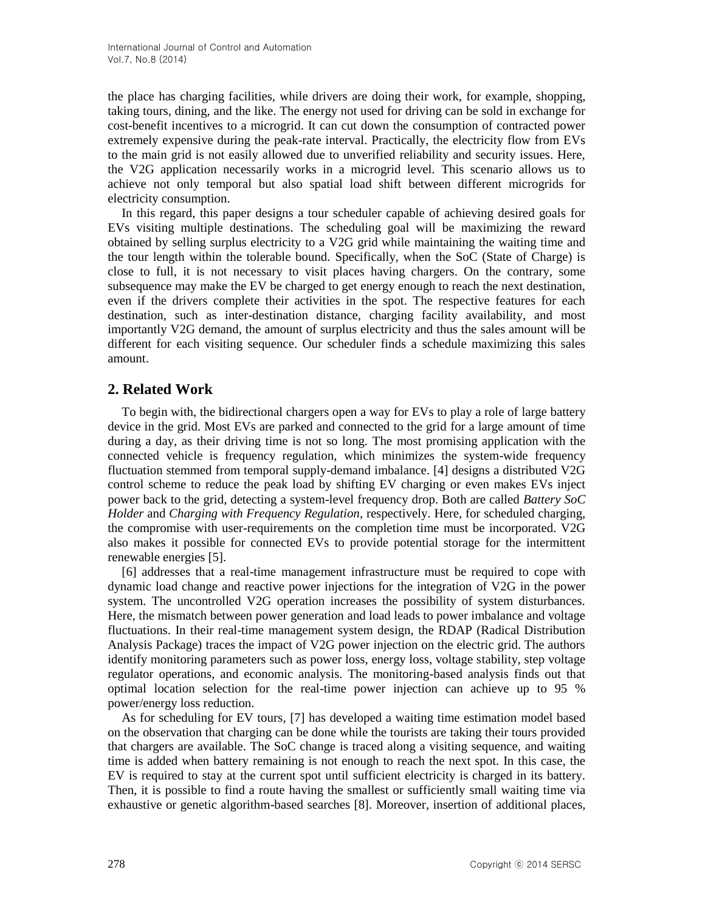the place has charging facilities, while drivers are doing their work, for example, shopping, taking tours, dining, and the like. The energy not used for driving can be sold in exchange for cost-benefit incentives to a microgrid. It can cut down the consumption of contracted power extremely expensive during the peak-rate interval. Practically, the electricity flow from EVs to the main grid is not easily allowed due to unverified reliability and security issues. Here, the V2G application necessarily works in a microgrid level. This scenario allows us to achieve not only temporal but also spatial load shift between different microgrids for electricity consumption.

In this regard, this paper designs a tour scheduler capable of achieving desired goals for EVs visiting multiple destinations. The scheduling goal will be maximizing the reward obtained by selling surplus electricity to a V2G grid while maintaining the waiting time and the tour length within the tolerable bound. Specifically, when the SoC (State of Charge) is close to full, it is not necessary to visit places having chargers. On the contrary, some subsequence may make the EV be charged to get energy enough to reach the next destination, even if the drivers complete their activities in the spot. The respective features for each destination, such as inter-destination distance, charging facility availability, and most importantly V2G demand, the amount of surplus electricity and thus the sales amount will be different for each visiting sequence. Our scheduler finds a schedule maximizing this sales amount.

# **2. Related Work**

To begin with, the bidirectional chargers open a way for EVs to play a role of large battery device in the grid. Most EVs are parked and connected to the grid for a large amount of time during a day, as their driving time is not so long. The most promising application with the connected vehicle is frequency regulation, which minimizes the system-wide frequency fluctuation stemmed from temporal supply-demand imbalance. [4] designs a distributed V2G control scheme to reduce the peak load by shifting EV charging or even makes EVs inject power back to the grid, detecting a system-level frequency drop. Both are called *Battery SoC Holder* and *Charging with Frequency Regulation*, respectively. Here, for scheduled charging, the compromise with user-requirements on the completion time must be incorporated. V2G also makes it possible for connected EVs to provide potential storage for the intermittent renewable energies [5].

[6] addresses that a real-time management infrastructure must be required to cope with dynamic load change and reactive power injections for the integration of V2G in the power system. The uncontrolled V2G operation increases the possibility of system disturbances. Here, the mismatch between power generation and load leads to power imbalance and voltage fluctuations. In their real-time management system design, the RDAP (Radical Distribution Analysis Package) traces the impact of V2G power injection on the electric grid. The authors identify monitoring parameters such as power loss, energy loss, voltage stability, step voltage regulator operations, and economic analysis. The monitoring-based analysis finds out that optimal location selection for the real-time power injection can achieve up to 95 % power/energy loss reduction.

As for scheduling for EV tours, [7] has developed a waiting time estimation model based on the observation that charging can be done while the tourists are taking their tours provided that chargers are available. The SoC change is traced along a visiting sequence, and waiting time is added when battery remaining is not enough to reach the next spot. In this case, the EV is required to stay at the current spot until sufficient electricity is charged in its battery. Then, it is possible to find a route having the smallest or sufficiently small waiting time via exhaustive or genetic algorithm-based searches [8]. Moreover, insertion of additional places,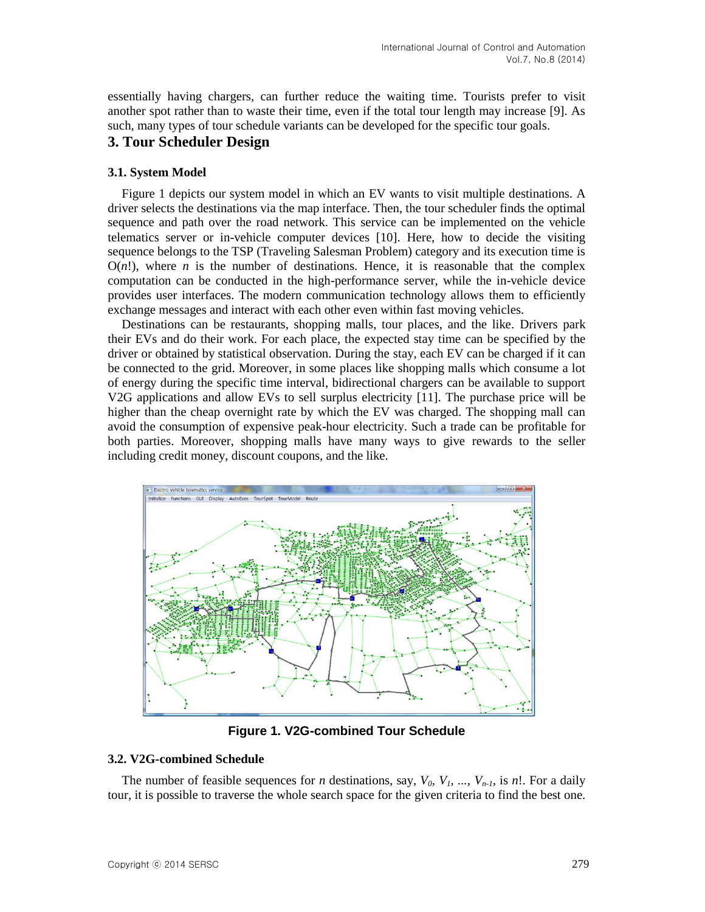essentially having chargers, can further reduce the waiting time. Tourists prefer to visit another spot rather than to waste their time, even if the total tour length may increase [9]. As such, many types of tour schedule variants can be developed for the specific tour goals.

## **3. Tour Scheduler Design**

#### **3.1. System Model**

Figure 1 depicts our system model in which an EV wants to visit multiple destinations. A driver selects the destinations via the map interface. Then, the tour scheduler finds the optimal sequence and path over the road network. This service can be implemented on the vehicle telematics server or in-vehicle computer devices [10]. Here, how to decide the visiting sequence belongs to the TSP (Traveling Salesman Problem) category and its execution time is  $O(n!)$ , where *n* is the number of destinations. Hence, it is reasonable that the complex computation can be conducted in the high-performance server, while the in-vehicle device provides user interfaces. The modern communication technology allows them to efficiently exchange messages and interact with each other even within fast moving vehicles.

Destinations can be restaurants, shopping malls, tour places, and the like. Drivers park their EVs and do their work. For each place, the expected stay time can be specified by the driver or obtained by statistical observation. During the stay, each EV can be charged if it can be connected to the grid. Moreover, in some places like shopping malls which consume a lot of energy during the specific time interval, bidirectional chargers can be available to support V2G applications and allow EVs to sell surplus electricity [11]. The purchase price will be higher than the cheap overnight rate by which the EV was charged. The shopping mall can avoid the consumption of expensive peak-hour electricity. Such a trade can be profitable for both parties. Moreover, shopping malls have many ways to give rewards to the seller including credit money, discount coupons, and the like.



**Figure 1. V2G-combined Tour Schedule**

### **3.2. V2G-combined Schedule**

The number of feasible sequences for *n* destinations, say,  $V_0$ ,  $V_1$ , ...,  $V_{n-1}$ , is *n*!. For a daily tour, it is possible to traverse the whole search space for the given criteria to find the best one.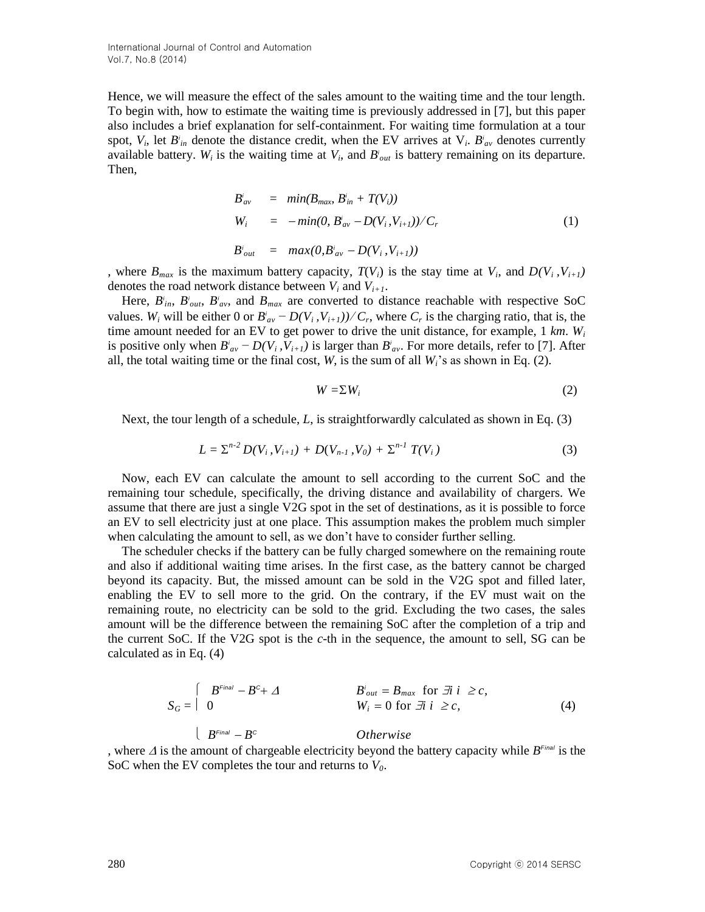Hence, we will measure the effect of the sales amount to the waiting time and the tour length. To begin with, how to estimate the waiting time is previously addressed in [7], but this paper also includes a brief explanation for self-containment. For waiting time formulation at a tour spot,  $V_i$ , let  $B^i_{in}$  denote the distance credit, when the EV arrives at  $V_i$ .  $B^i_{av}$  denotes currently available battery.  $W_i$  is the waiting time at  $V_i$ , and  $B_i^i$  is battery remaining on its departure. Then,

$$
B'_{av} = min(B_{max} B'_{in} + T(V_i))
$$
  
\n
$$
W_i = -min(0, B'_{av} - D(V_i, V_{i+1}))/C_r
$$
  
\n
$$
B'_{out} = max(0, B'_{av} - D(V_i, V_{i+1})))
$$
\n(1)

, where  $B_{max}$  is the maximum battery capacity,  $T(V_i)$  is the stay time at  $V_i$ , and  $D(V_i, V_{i+1})$ denotes the road network distance between  $V_i$  and  $V_{i+1}$ .

Here,  $B_{in}^i$ ,  $B_{out}^i$ ,  $B_{av}^i$ , and  $B_{max}$  are converted to distance reachable with respective SoC values. *W<sub>i</sub>* will be either 0 or  $B'_{av} - D(V_i, V_{i+1})$ / $C_r$ , where  $C_r$  is the charging ratio, that is, the time amount needed for an EV to get power to drive the unit distance, for example, 1 *km*. *W<sup>i</sup>* is positive only when  $B_{av}^i - D(V_i, V_{i+1})$  is larger than  $B_{av}^i$ . For more details, refer to [7]. After all, the total waiting time or the final cost,  $W$ , is the sum of all  $W_i$ 's as shown in Eq. (2).

$$
W = \sum W_i \tag{2}
$$

Next, the tour length of a schedule, *L*, is straightforwardly calculated as shown in Eq. (3)

$$
L = \sum^{n-2} D(V_i, V_{i+1}) + D(V_{n-1}, V_0) + \sum^{n-1} T(V_i)
$$
\n(3)

Now, each EV can calculate the amount to sell according to the current SoC and the remaining tour schedule, specifically, the driving distance and availability of chargers. We assume that there are just a single V2G spot in the set of destinations, as it is possible to force an EV to sell electricity just at one place. This assumption makes the problem much simpler when calculating the amount to sell, as we don't have to consider further selling.

The scheduler checks if the battery can be fully charged somewhere on the remaining route and also if additional waiting time arises. In the first case, as the battery cannot be charged beyond its capacity. But, the missed amount can be sold in the V2G spot and filled later, enabling the EV to sell more to the grid. On the contrary, if the EV must wait on the remaining route, no electricity can be sold to the grid. Excluding the two cases, the sales amount will be the difference between the remaining SoC after the completion of a trip and the current SoC. If the V2G spot is the *c*-th in the sequence, the amount to sell, SG can be calculated as in Eq. (4)

$$
S_G = \begin{cases} B^{Final} - B^c + \varDelta & B'_{out} = B_{max} \text{ for } \exists i \ i \ge c, \\ 0 & W_i = 0 \text{ for } \exists i \ i \ge c, \end{cases}
$$
 (4)

 $\left\{ \begin{array}{c} B^{Final} - B \end{array} \right.$ *<sup>C</sup> Otherwise* , where  $\Delta$  is the amount of chargeable electricity beyond the battery capacity while  $B^{Final}$  is the SoC when the EV completes the tour and returns to  $V_0$ .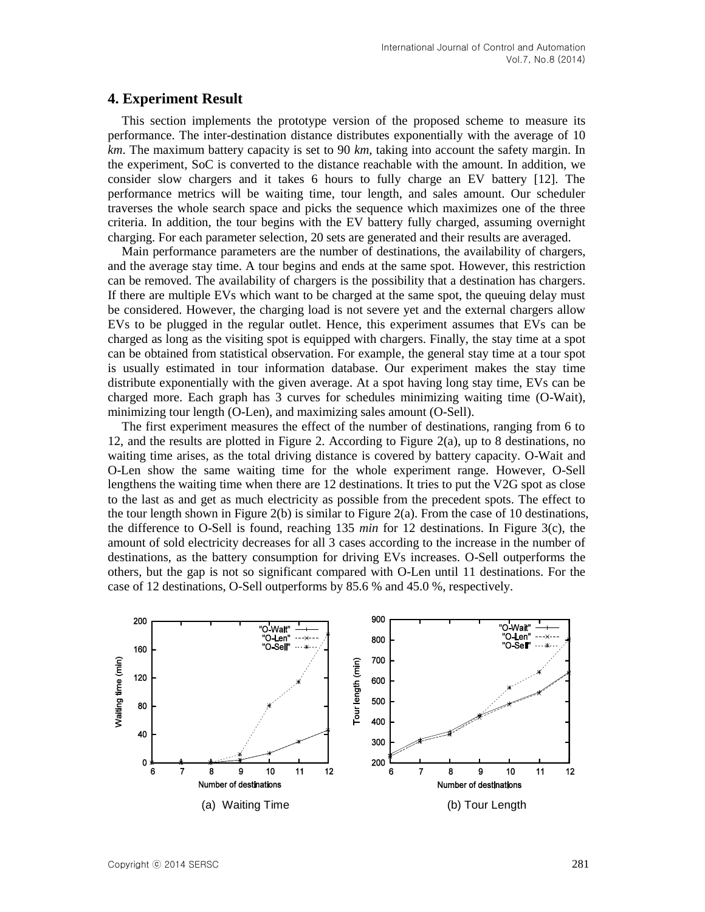#### **4. Experiment Result**

This section implements the prototype version of the proposed scheme to measure its performance. The inter-destination distance distributes exponentially with the average of 10 *km*. The maximum battery capacity is set to 90 *km*, taking into account the safety margin. In the experiment, SoC is converted to the distance reachable with the amount. In addition, we consider slow chargers and it takes 6 hours to fully charge an EV battery [12]. The performance metrics will be waiting time, tour length, and sales amount. Our scheduler traverses the whole search space and picks the sequence which maximizes one of the three criteria. In addition, the tour begins with the EV battery fully charged, assuming overnight charging. For each parameter selection, 20 sets are generated and their results are averaged.

Main performance parameters are the number of destinations, the availability of chargers, and the average stay time. A tour begins and ends at the same spot. However, this restriction can be removed. The availability of chargers is the possibility that a destination has chargers. If there are multiple EVs which want to be charged at the same spot, the queuing delay must be considered. However, the charging load is not severe yet and the external chargers allow EVs to be plugged in the regular outlet. Hence, this experiment assumes that EVs can be charged as long as the visiting spot is equipped with chargers. Finally, the stay time at a spot can be obtained from statistical observation. For example, the general stay time at a tour spot is usually estimated in tour information database. Our experiment makes the stay time distribute exponentially with the given average. At a spot having long stay time, EVs can be charged more. Each graph has 3 curves for schedules minimizing waiting time (O-Wait), minimizing tour length (O-Len), and maximizing sales amount (O-Sell).

The first experiment measures the effect of the number of destinations, ranging from 6 to 12, and the results are plotted in Figure 2. According to Figure 2(a), up to 8 destinations, no waiting time arises, as the total driving distance is covered by battery capacity. O-Wait and O-Len show the same waiting time for the whole experiment range. However, O-Sell lengthens the waiting time when there are 12 destinations. It tries to put the V2G spot as close to the last as and get as much electricity as possible from the precedent spots. The effect to the tour length shown in Figure  $2(b)$  is similar to Figure  $2(a)$ . From the case of 10 destinations, the difference to O-Sell is found, reaching 135 *min* for 12 destinations. In Figure 3(c), the amount of sold electricity decreases for all 3 cases according to the increase in the number of destinations, as the battery consumption for driving EVs increases. O-Sell outperforms the others, but the gap is not so significant compared with O-Len until 11 destinations. For the case of 12 destinations, O-Sell outperforms by 85.6 % and 45.0 %, respectively.

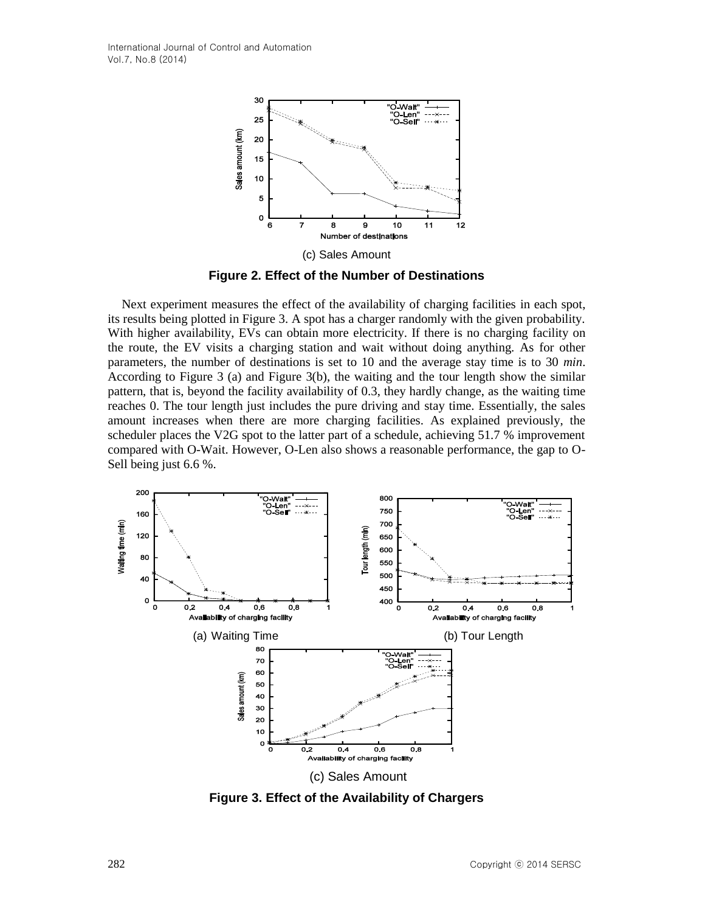

**Figure 2. Effect of the Number of Destinations**

Next experiment measures the effect of the availability of charging facilities in each spot, its results being plotted in Figure 3. A spot has a charger randomly with the given probability. With higher availability, EVs can obtain more electricity. If there is no charging facility on the route, the EV visits a charging station and wait without doing anything. As for other parameters, the number of destinations is set to 10 and the average stay time is to 30 *min*. According to Figure 3 (a) and Figure 3(b), the waiting and the tour length show the similar pattern, that is, beyond the facility availability of 0.3, they hardly change, as the waiting time reaches 0. The tour length just includes the pure driving and stay time. Essentially, the sales amount increases when there are more charging facilities. As explained previously, the scheduler places the V2G spot to the latter part of a schedule, achieving 51.7 % improvement compared with O-Wait. However, O-Len also shows a reasonable performance, the gap to O-Sell being just 6.6 %.



**Figure 3. Effect of the Availability of Chargers**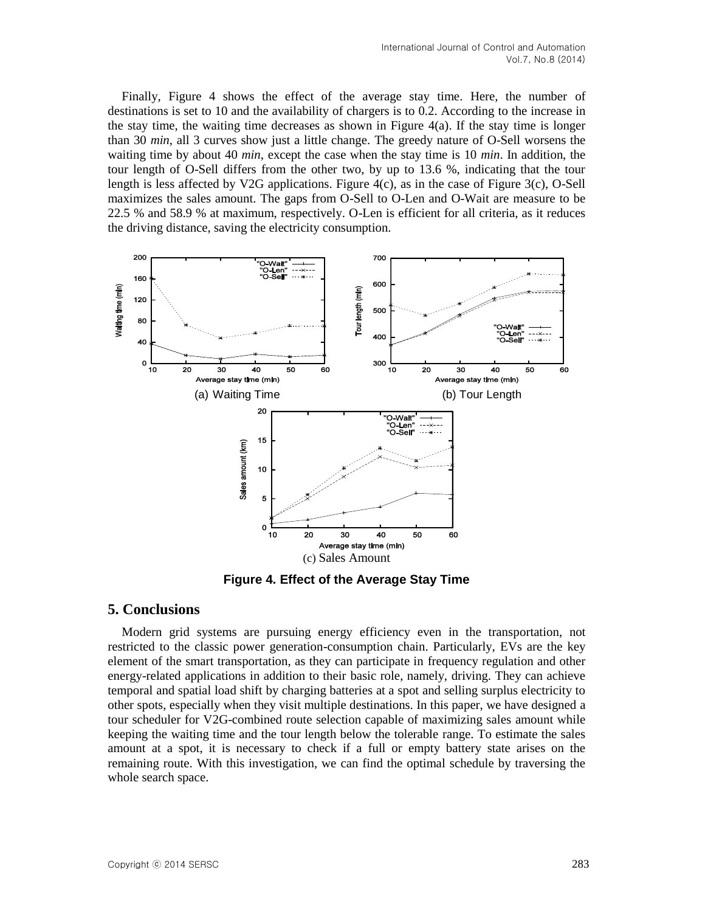Finally, Figure 4 shows the effect of the average stay time. Here, the number of destinations is set to 10 and the availability of chargers is to 0.2. According to the increase in the stay time, the waiting time decreases as shown in Figure  $4(a)$ . If the stay time is longer than 30 *min*, all 3 curves show just a little change. The greedy nature of O-Sell worsens the waiting time by about 40 *min*, except the case when the stay time is 10 *min*. In addition, the tour length of O-Sell differs from the other two, by up to 13.6 %, indicating that the tour length is less affected by V2G applications. Figure 4(c), as in the case of Figure 3(c), O-Sell maximizes the sales amount. The gaps from O-Sell to O-Len and O-Wait are measure to be 22.5 % and 58.9 % at maximum, respectively. O-Len is efficient for all criteria, as it reduces the driving distance, saving the electricity consumption.



**Figure 4. Effect of the Average Stay Time**

### **5. Conclusions**

Modern grid systems are pursuing energy efficiency even in the transportation, not restricted to the classic power generation-consumption chain. Particularly, EVs are the key element of the smart transportation, as they can participate in frequency regulation and other energy-related applications in addition to their basic role, namely, driving. They can achieve temporal and spatial load shift by charging batteries at a spot and selling surplus electricity to other spots, especially when they visit multiple destinations. In this paper, we have designed a tour scheduler for V2G-combined route selection capable of maximizing sales amount while keeping the waiting time and the tour length below the tolerable range. To estimate the sales amount at a spot, it is necessary to check if a full or empty battery state arises on the remaining route. With this investigation, we can find the optimal schedule by traversing the whole search space.